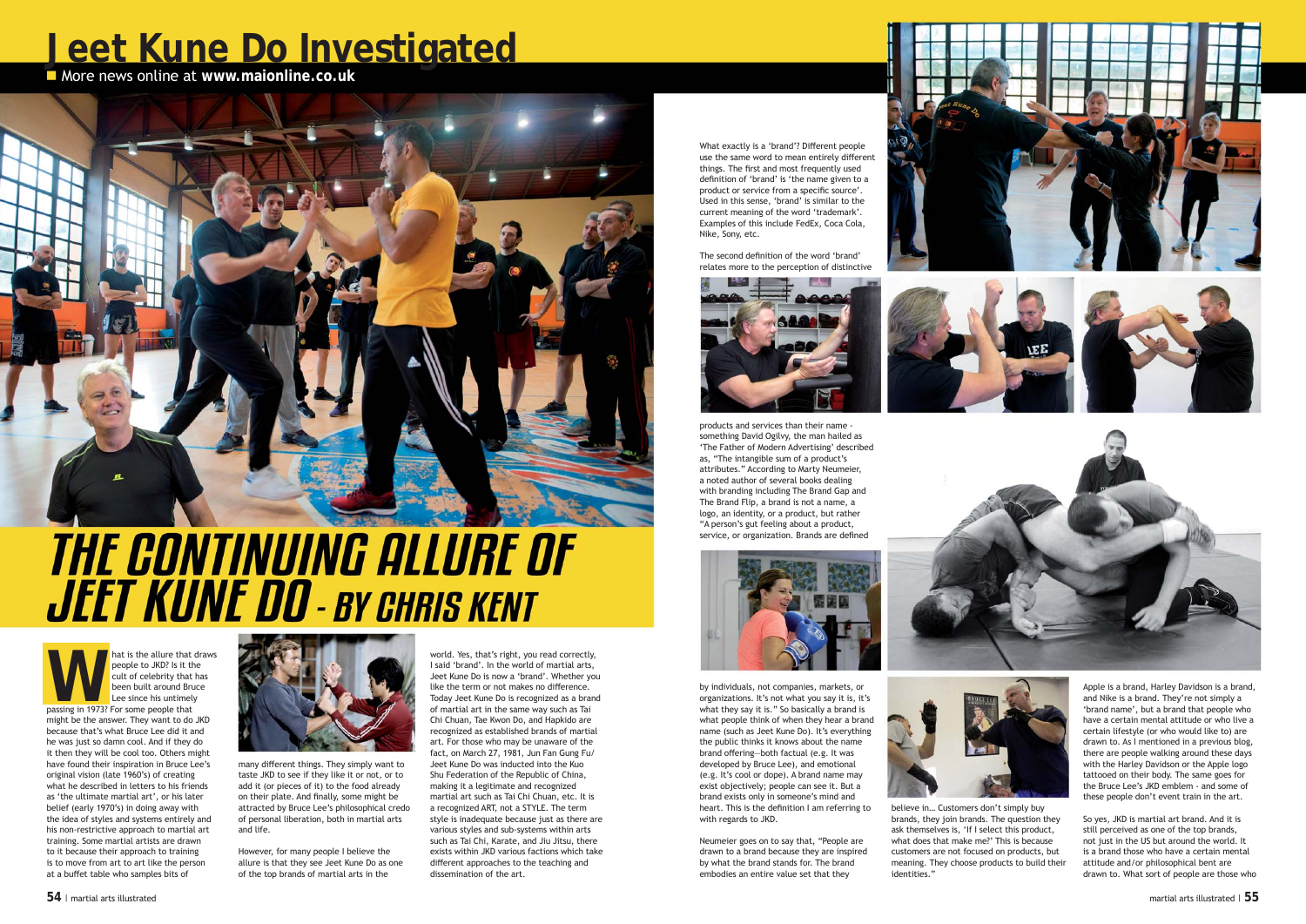





## **Jeet Kune Do Investigated**

■ More news online at www.maionline.co.uk



**WARE SET ALLET VERGO WE ARE SET AND PEOPLE TO JKD?** Is it the cult of celebrity that has been built around Bruce Lee since his untimely passing in 1973? For some people that people to JKD? Is it the cult of celebrity that has been built around Bruce Lee since his untimely might be the answer. They want to do JKD because that's what Bruce Lee did it and he was just so damn cool. And if they do it then they will be cool too. Others might have found their inspiration in Bruce Lee's original vision (late 1960's) of creating what he described in letters to his friends as 'the ultimate martial art', or his later belief (early 1970's) in doing away with the idea of styles and systems entirely and his non-restrictive approach to martial art training. Some martial artists are drawn to it because their approach to training is to move from art to art like the person at a buffet table who samples bits of



world. Yes, that's right, you read correctly, I said 'brand'. In the world of martial arts, Jeet Kune Do is now a 'brand'. Whether you like the term or not makes no difference. Today Jeet Kune Do is recognized as a brand of martial art in the same way such as Tai Chi Chuan, Tae Kwon Do, and Hapkido are recognized as established brands of martial art. For those who may be unaware of the fact, on March 27, 1981, Jun Fan Gung Fu/ Jeet Kune Do was inducted into the Kuo Shu Federation of the Republic of China, making it a legitimate and recognized martial art such as Tai Chi Chuan, etc. It is a recognized ART, not a STYLE. The term style is inadequate because just as there are various styles and sub-systems within arts such as Tai Chi, Karate, and Jiu Jitsu, there exists within JKD various factions which take different approaches to the teaching and dissemination of the art.

What exactly is a 'brand'? Different people use the same word to mean entirely different things. The first and most frequently used definition of 'brand' is 'the name given to a product or service from a specific source'. Used in this sense, 'brand' is similar to the current meaning of the word 'trademark'. Examples of this include FedEx, Coca Cola, Nike, Sony, etc.

The second definition of the word 'brand' relates more to the perception of distinctive



believe in… Customers don't simply buy



brands, they join brands. The question they ask themselves is, 'If I select this product, what does that make me?' This is because customers are not focused on products, but meaning. They choose products to build their identities."

many different things. They simply want to taste JKD to see if they like it or not, or to add it (or pieces of it) to the food already on their plate. And finally, some might be attracted by Bruce Lee's philosophical credo of personal liberation, both in martial arts and life.

products and services than their name something David Ogilvy, the man hailed as 'The Father of Modern Advertising' described as, "The intangible sum of a product's attributes." According to Marty Neumeier, a noted author of several books dealing with branding including The Brand Gap and The Brand Flip, a brand is not a name, a logo, an identity, or a product, but rather "A person's gut feeling about a product, service, or organization. Brands are defined



Apple is a brand, Harley Davidson is a brand, and Nike is a brand. They're not simply a 'brand name', but a brand that people who have a certain mental attitude or who live a certain lifestyle (or who would like to) are drawn to. As I mentioned in a previous blog, there are people walking around these days with the Harley Davidson or the Apple logo tattooed on their body. The same goes for the Bruce Lee's JKD emblem - and some of these people don't event train in the art.

So yes, JKD is martial art brand. And it is still perceived as one of the top brands, not just in the US but around the world. It is a brand those who have a certain mental attitude and/or philosophical bent are drawn to. What sort of people are those who

However, for many people I believe the allure is that they see Jeet Kune Do as one of the top brands of martial arts in the

by individuals, not companies, markets, or organizations. It's not what you say it is, it's what they say it is." So basically a brand is what people think of when they hear a brand name (such as Jeet Kune Do). It's everything the public thinks it knows about the name brand offering—both factual (e.g. It was developed by Bruce Lee), and emotional (e.g. It's cool or dope). A brand name may exist objectively; people can see it. But a brand exists only in someone's mind and heart. This is the definition I am referring to with regards to JKD.

Neumeier goes on to say that, "People are drawn to a brand because they are inspired by what the brand stands for. The brand embodies an entire value set that they